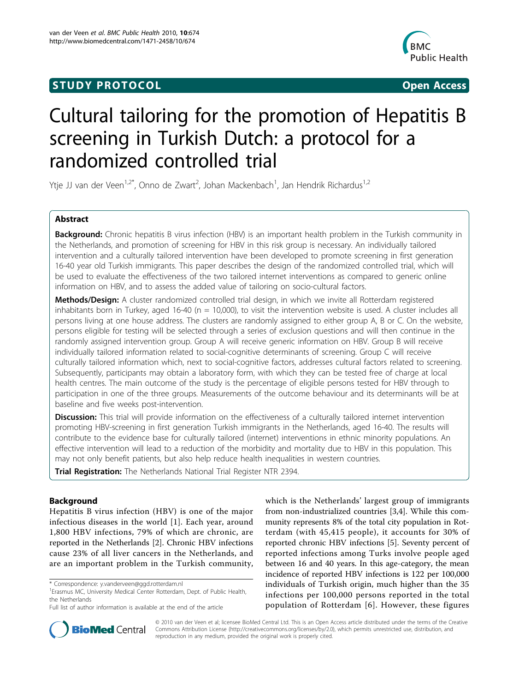# **STUDY PROTOCOL CONSUMING ACCESS**



# Cultural tailoring for the promotion of Hepatitis B screening in Turkish Dutch: a protocol for a randomized controlled trial

Ytje JJ van der Veen<sup>1,2\*</sup>, Onno de Zwart<sup>2</sup>, Johan Mackenbach<sup>1</sup>, Jan Hendrik Richardus<sup>1,2</sup>

# Abstract

Background: Chronic hepatitis B virus infection (HBV) is an important health problem in the Turkish community in the Netherlands, and promotion of screening for HBV in this risk group is necessary. An individually tailored intervention and a culturally tailored intervention have been developed to promote screening in first generation 16-40 year old Turkish immigrants. This paper describes the design of the randomized controlled trial, which will be used to evaluate the effectiveness of the two tailored internet interventions as compared to generic online information on HBV, and to assess the added value of tailoring on socio-cultural factors.

Methods/Design: A cluster randomized controlled trial design, in which we invite all Rotterdam registered inhabitants born in Turkey, aged 16-40 ( $n = 10,000$ ), to visit the intervention website is used. A cluster includes all persons living at one house address. The clusters are randomly assigned to either group A, B or C. On the website, persons eligible for testing will be selected through a series of exclusion questions and will then continue in the randomly assigned intervention group. Group A will receive generic information on HBV. Group B will receive individually tailored information related to social-cognitive determinants of screening. Group C will receive culturally tailored information which, next to social-cognitive factors, addresses cultural factors related to screening. Subsequently, participants may obtain a laboratory form, with which they can be tested free of charge at local health centres. The main outcome of the study is the percentage of eligible persons tested for HBV through to participation in one of the three groups. Measurements of the outcome behaviour and its determinants will be at baseline and five weeks post-intervention.

Discussion: This trial will provide information on the effectiveness of a culturally tailored internet intervention promoting HBV-screening in first generation Turkish immigrants in the Netherlands, aged 16-40. The results will contribute to the evidence base for culturally tailored (internet) interventions in ethnic minority populations. An effective intervention will lead to a reduction of the morbidity and mortality due to HBV in this population. This may not only benefit patients, but also help reduce health inequalities in western countries.

Trial Registration: The Netherlands National Trial Register NTR 2394.

# Background

Hepatitis B virus infection (HBV) is one of the major infectious diseases in the world [[1](#page-6-0)]. Each year, around 1,800 HBV infections, 79% of which are chronic, are reported in the Netherlands [\[2\]](#page-6-0). Chronic HBV infections cause 23% of all liver cancers in the Netherlands, and are an important problem in the Turkish community,

which is the Netherlands' largest group of immigrants from non-industrialized countries [\[3](#page-6-0),[4](#page-6-0)]. While this community represents 8% of the total city population in Rotterdam (with 45,415 people), it accounts for 30% of reported chronic HBV infections [[5\]](#page-7-0). Seventy percent of reported infections among Turks involve people aged between 16 and 40 years. In this age-category, the mean incidence of reported HBV infections is 122 per 100,000 individuals of Turkish origin, much higher than the 35 infections per 100,000 persons reported in the total population of Rotterdam [[6\]](#page-7-0). However, these figures



© 2010 van der Veen et al; licensee BioMed Central Ltd. This is an Open Access article distributed under the terms of the Creative Commons Attribution License [\(http://creativecommons.org/licenses/by/2.0](http://creativecommons.org/licenses/by/2.0)), which permits unrestricted use, distribution, and reproduction in any medium, provided the original work is properly cited.

<sup>\*</sup> Correspondence: [y.vanderveen@ggd.rotterdam.nl](mailto:y.vanderveen@ggd.rotterdam.nl)

<sup>&</sup>lt;sup>1</sup> Erasmus MC, University Medical Center Rotterdam, Dept. of Public Health, the Netherlands

Full list of author information is available at the end of the article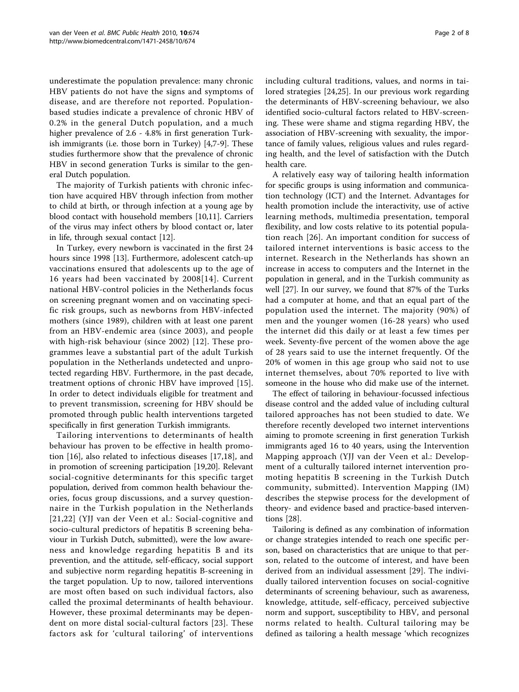underestimate the population prevalence: many chronic HBV patients do not have the signs and symptoms of disease, and are therefore not reported. Populationbased studies indicate a prevalence of chronic HBV of 0.2% in the general Dutch population, and a much higher prevalence of 2.6 - 4.8% in first generation Turkish immigrants (i.e. those born in Turkey) [\[4](#page-6-0)[,7-9](#page-7-0)]. These studies furthermore show that the prevalence of chronic HBV in second generation Turks is similar to the general Dutch population.

The majority of Turkish patients with chronic infection have acquired HBV through infection from mother to child at birth, or through infection at a young age by blood contact with household members [\[10,11](#page-7-0)]. Carriers of the virus may infect others by blood contact or, later in life, through sexual contact [[12\]](#page-7-0).

In Turkey, every newborn is vaccinated in the first 24 hours since 1998 [[13\]](#page-7-0). Furthermore, adolescent catch-up vaccinations ensured that adolescents up to the age of 16 years had been vaccinated by 2008[[14](#page-7-0)]. Current national HBV-control policies in the Netherlands focus on screening pregnant women and on vaccinating specific risk groups, such as newborns from HBV-infected mothers (since 1989), children with at least one parent from an HBV-endemic area (since 2003), and people with high-risk behaviour (since 2002) [\[12\]](#page-7-0). These programmes leave a substantial part of the adult Turkish population in the Netherlands undetected and unprotected regarding HBV. Furthermore, in the past decade, treatment options of chronic HBV have improved [[15](#page-7-0)]. In order to detect individuals eligible for treatment and to prevent transmission, screening for HBV should be promoted through public health interventions targeted specifically in first generation Turkish immigrants.

Tailoring interventions to determinants of health behaviour has proven to be effective in health promotion [[16\]](#page-7-0), also related to infectious diseases [[17](#page-7-0),[18\]](#page-7-0), and in promotion of screening participation [[19,20](#page-7-0)]. Relevant social-cognitive determinants for this specific target population, derived from common health behaviour theories, focus group discussions, and a survey questionnaire in the Turkish population in the Netherlands [[21,22\]](#page-7-0) (YJJ van der Veen et al.: Social-cognitive and socio-cultural predictors of hepatitis B screening behaviour in Turkish Dutch, submitted), were the low awareness and knowledge regarding hepatitis B and its prevention, and the attitude, self-efficacy, social support and subjective norm regarding hepatitis B-screening in the target population. Up to now, tailored interventions are most often based on such individual factors, also called the proximal determinants of health behaviour. However, these proximal determinants may be dependent on more distal social-cultural factors [[23](#page-7-0)]. These factors ask for 'cultural tailoring' of interventions including cultural traditions, values, and norms in tailored strategies [[24,25](#page-7-0)]. In our previous work regarding the determinants of HBV-screening behaviour, we also identified socio-cultural factors related to HBV-screening. These were shame and stigma regarding HBV, the association of HBV-screening with sexuality, the importance of family values, religious values and rules regarding health, and the level of satisfaction with the Dutch health care.

A relatively easy way of tailoring health information for specific groups is using information and communication technology (ICT) and the Internet. Advantages for health promotion include the interactivity, use of active learning methods, multimedia presentation, temporal flexibility, and low costs relative to its potential population reach [[26](#page-7-0)]. An important condition for success of tailored internet interventions is basic access to the internet. Research in the Netherlands has shown an increase in access to computers and the Internet in the population in general, and in the Turkish community as well [\[27](#page-7-0)]. In our survey, we found that 87% of the Turks had a computer at home, and that an equal part of the population used the internet. The majority (90%) of men and the younger women (16-28 years) who used the internet did this daily or at least a few times per week. Seventy-five percent of the women above the age of 28 years said to use the internet frequently. Of the 20% of women in this age group who said not to use internet themselves, about 70% reported to live with someone in the house who did make use of the internet.

The effect of tailoring in behaviour-focussed infectious disease control and the added value of including cultural tailored approaches has not been studied to date. We therefore recently developed two internet interventions aiming to promote screening in first generation Turkish immigrants aged 16 to 40 years, using the Intervention Mapping approach (YJJ van der Veen et al.: Development of a culturally tailored internet intervention promoting hepatitis B screening in the Turkish Dutch community, submitted). Intervention Mapping (IM) describes the stepwise process for the development of theory- and evidence based and practice-based interventions [\[28\]](#page-7-0).

Tailoring is defined as any combination of information or change strategies intended to reach one specific person, based on characteristics that are unique to that person, related to the outcome of interest, and have been derived from an individual assessment [[29\]](#page-7-0). The individually tailored intervention focuses on social-cognitive determinants of screening behaviour, such as awareness, knowledge, attitude, self-efficacy, perceived subjective norm and support, susceptibility to HBV, and personal norms related to health. Cultural tailoring may be defined as tailoring a health message 'which recognizes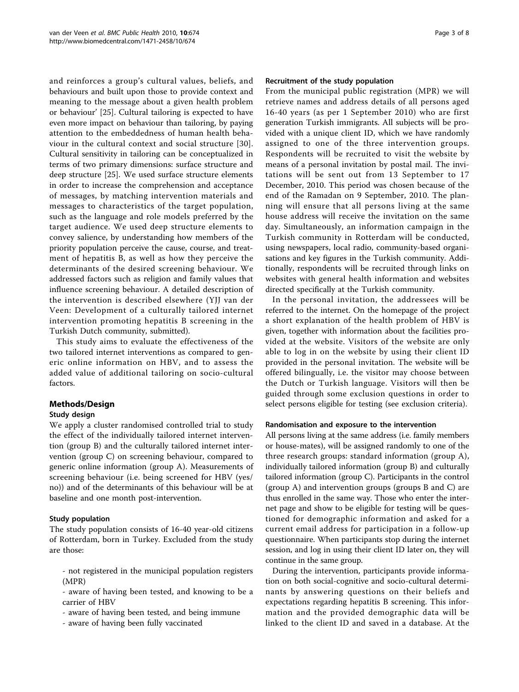and reinforces a group's cultural values, beliefs, and behaviours and built upon those to provide context and meaning to the message about a given health problem or behaviour' [[25\]](#page-7-0). Cultural tailoring is expected to have even more impact on behaviour than tailoring, by paying attention to the embeddedness of human health behaviour in the cultural context and social structure [[30](#page-7-0)]. Cultural sensitivity in tailoring can be conceptualized in terms of two primary dimensions: surface structure and deep structure [[25\]](#page-7-0). We used surface structure elements in order to increase the comprehension and acceptance of messages, by matching intervention materials and messages to characteristics of the target population, such as the language and role models preferred by the target audience. We used deep structure elements to convey salience, by understanding how members of the priority population perceive the cause, course, and treatment of hepatitis B, as well as how they perceive the determinants of the desired screening behaviour. We addressed factors such as religion and family values that influence screening behaviour. A detailed description of the intervention is described elsewhere (YJJ van der Veen: Development of a culturally tailored internet intervention promoting hepatitis B screening in the Turkish Dutch community, submitted).

This study aims to evaluate the effectiveness of the two tailored internet interventions as compared to generic online information on HBV, and to assess the added value of additional tailoring on socio-cultural factors.

# Methods/Design

#### Study design

We apply a cluster randomised controlled trial to study the effect of the individually tailored internet intervention (group B) and the culturally tailored internet intervention (group C) on screening behaviour, compared to generic online information (group A). Measurements of screening behaviour (i.e. being screened for HBV (yes/ no)) and of the determinants of this behaviour will be at baseline and one month post-intervention.

#### Study population

The study population consists of 16-40 year-old citizens of Rotterdam, born in Turkey. Excluded from the study are those:

- not registered in the municipal population registers (MPR)
- aware of having been tested, and knowing to be a carrier of HBV
- aware of having been tested, and being immune
- aware of having been fully vaccinated

#### Recruitment of the study population

From the municipal public registration (MPR) we will retrieve names and address details of all persons aged 16-40 years (as per 1 September 2010) who are first generation Turkish immigrants. All subjects will be provided with a unique client ID, which we have randomly assigned to one of the three intervention groups. Respondents will be recruited to visit the website by means of a personal invitation by postal mail. The invitations will be sent out from 13 September to 17 December, 2010. This period was chosen because of the end of the Ramadan on 9 September, 2010. The planning will ensure that all persons living at the same house address will receive the invitation on the same day. Simultaneously, an information campaign in the Turkish community in Rotterdam will be conducted, using newspapers, local radio, community-based organisations and key figures in the Turkish community. Additionally, respondents will be recruited through links on websites with general health information and websites directed specifically at the Turkish community.

In the personal invitation, the addressees will be referred to the internet. On the homepage of the project a short explanation of the health problem of HBV is given, together with information about the facilities provided at the website. Visitors of the website are only able to log in on the website by using their client ID provided in the personal invitation. The website will be offered bilingually, i.e. the visitor may choose between the Dutch or Turkish language. Visitors will then be guided through some exclusion questions in order to select persons eligible for testing (see exclusion criteria).

#### Randomisation and exposure to the intervention

All persons living at the same address (i.e. family members or house-mates), will be assigned randomly to one of the three research groups: standard information (group A), individually tailored information (group B) and culturally tailored information (group C). Participants in the control (group A) and intervention groups (groups B and C) are thus enrolled in the same way. Those who enter the internet page and show to be eligible for testing will be questioned for demographic information and asked for a current email address for participation in a follow-up questionnaire. When participants stop during the internet session, and log in using their client ID later on, they will continue in the same group.

During the intervention, participants provide information on both social-cognitive and socio-cultural determinants by answering questions on their beliefs and expectations regarding hepatitis B screening. This information and the provided demographic data will be linked to the client ID and saved in a database. At the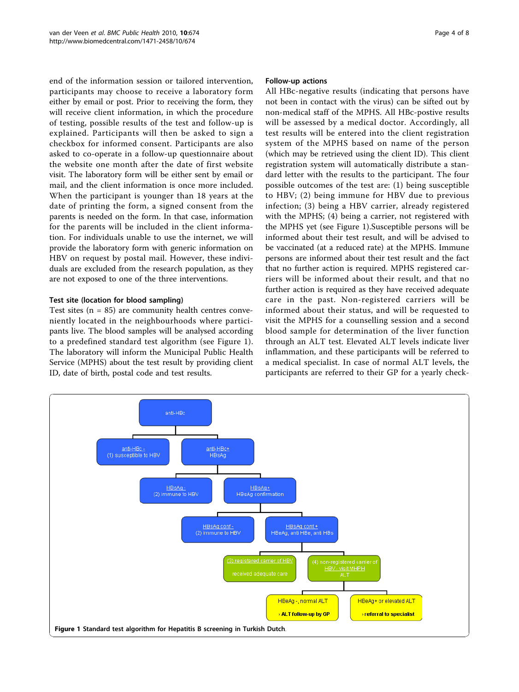end of the information session or tailored intervention, participants may choose to receive a laboratory form either by email or post. Prior to receiving the form, they will receive client information, in which the procedure of testing, possible results of the test and follow-up is explained. Participants will then be asked to sign a checkbox for informed consent. Participants are also asked to co-operate in a follow-up questionnaire about the website one month after the date of first website visit. The laboratory form will be either sent by email or mail, and the client information is once more included. When the participant is younger than 18 years at the date of printing the form, a signed consent from the parents is needed on the form. In that case, information for the parents will be included in the client information. For individuals unable to use the internet, we will provide the laboratory form with generic information on HBV on request by postal mail. However, these individuals are excluded from the research population, as they are not exposed to one of the three interventions.

# Test site (location for blood sampling)

Test sites  $(n = 85)$  are community health centres conveniently located in the neighbourhoods where participants live. The blood samples will be analysed according to a predefined standard test algorithm (see Figure 1). The laboratory will inform the Municipal Public Health Service (MPHS) about the test result by providing client ID, date of birth, postal code and test results.

#### Follow-up actions

All HBc-negative results (indicating that persons have not been in contact with the virus) can be sifted out by non-medical staff of the MPHS. All HBc-postive results will be assessed by a medical doctor. Accordingly, all test results will be entered into the client registration system of the MPHS based on name of the person (which may be retrieved using the client ID). This client registration system will automatically distribute a standard letter with the results to the participant. The four possible outcomes of the test are: (1) being susceptible to HBV; (2) being immune for HBV due to previous infection; (3) being a HBV carrier, already registered with the MPHS; (4) being a carrier, not registered with the MPHS yet (see Figure 1).Susceptible persons will be informed about their test result, and will be advised to be vaccinated (at a reduced rate) at the MPHS. Immune persons are informed about their test result and the fact that no further action is required. MPHS registered carriers will be informed about their result, and that no further action is required as they have received adequate care in the past. Non-registered carriers will be informed about their status, and will be requested to visit the MPHS for a counselling session and a second blood sample for determination of the liver function through an ALT test. Elevated ALT levels indicate liver inflammation, and these participants will be referred to a medical specialist. In case of normal ALT levels, the participants are referred to their GP for a yearly check-

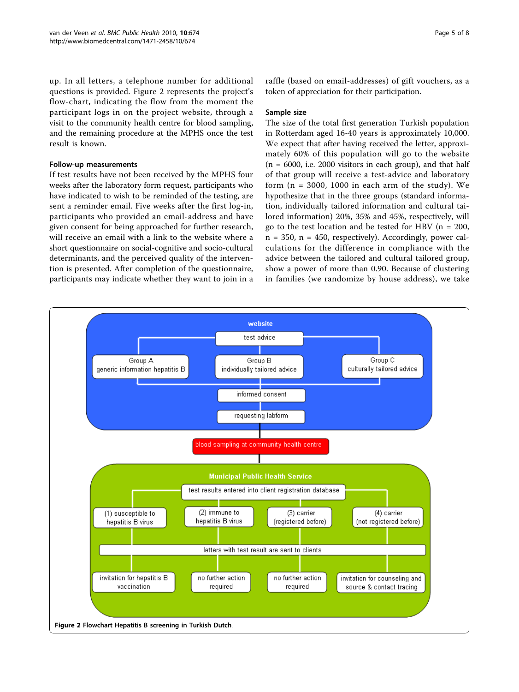up. In all letters, a telephone number for additional questions is provided. Figure 2 represents the project's flow-chart, indicating the flow from the moment the participant logs in on the project website, through a visit to the community health centre for blood sampling, and the remaining procedure at the MPHS once the test result is known.

#### Follow-up measurements

If test results have not been received by the MPHS four weeks after the laboratory form request, participants who have indicated to wish to be reminded of the testing, are sent a reminder email. Five weeks after the first log-in, participants who provided an email-address and have given consent for being approached for further research, will receive an email with a link to the website where a short questionnaire on social-cognitive and socio-cultural determinants, and the perceived quality of the intervention is presented. After completion of the questionnaire, participants may indicate whether they want to join in a raffle (based on email-addresses) of gift vouchers, as a token of appreciation for their participation.

## Sample size

The size of the total first generation Turkish population in Rotterdam aged 16-40 years is approximately 10,000. We expect that after having received the letter, approximately 60% of this population will go to the website  $(n = 6000, i.e. 2000$  visitors in each group), and that half of that group will receive a test-advice and laboratory form  $(n = 3000, 1000)$  in each arm of the study). We hypothesize that in the three groups (standard information, individually tailored information and cultural tailored information) 20%, 35% and 45%, respectively, will go to the test location and be tested for HBV ( $n = 200$ ,  $n = 350$ ,  $n = 450$ , respectively). Accordingly, power calculations for the difference in compliance with the advice between the tailored and cultural tailored group, show a power of more than 0.90. Because of clustering in families (we randomize by house address), we take

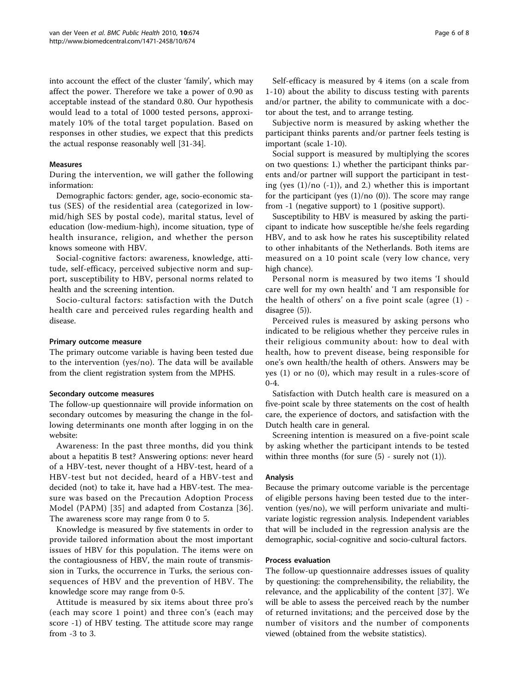into account the effect of the cluster 'family', which may affect the power. Therefore we take a power of 0.90 as acceptable instead of the standard 0.80. Our hypothesis would lead to a total of 1000 tested persons, approximately 10% of the total target population. Based on responses in other studies, we expect that this predicts the actual response reasonably well [[31-34\]](#page-7-0).

## Measures

During the intervention, we will gather the following information:

Demographic factors: gender, age, socio-economic status (SES) of the residential area (categorized in lowmid/high SES by postal code), marital status, level of education (low-medium-high), income situation, type of health insurance, religion, and whether the person knows someone with HBV.

Social-cognitive factors: awareness, knowledge, attitude, self-efficacy, perceived subjective norm and support, susceptibility to HBV, personal norms related to health and the screening intention.

Socio-cultural factors: satisfaction with the Dutch health care and perceived rules regarding health and disease.

#### Primary outcome measure

The primary outcome variable is having been tested due to the intervention (yes/no). The data will be available from the client registration system from the MPHS.

#### Secondary outcome measures

The follow-up questionnaire will provide information on secondary outcomes by measuring the change in the following determinants one month after logging in on the website:

Awareness: In the past three months, did you think about a hepatitis B test? Answering options: never heard of a HBV-test, never thought of a HBV-test, heard of a HBV-test but not decided, heard of a HBV-test and decided (not) to take it, have had a HBV-test. The measure was based on the Precaution Adoption Process Model (PAPM) [[35](#page-7-0)] and adapted from Costanza [[36\]](#page-7-0). The awareness score may range from 0 to 5.

Knowledge is measured by five statements in order to provide tailored information about the most important issues of HBV for this population. The items were on the contagiousness of HBV, the main route of transmission in Turks, the occurrence in Turks, the serious consequences of HBV and the prevention of HBV. The knowledge score may range from 0-5.

Attitude is measured by six items about three pro's (each may score 1 point) and three con's (each may score -1) of HBV testing. The attitude score may range from -3 to 3.

Self-efficacy is measured by 4 items (on a scale from 1-10) about the ability to discuss testing with parents and/or partner, the ability to communicate with a doctor about the test, and to arrange testing.

Subjective norm is measured by asking whether the participant thinks parents and/or partner feels testing is important (scale 1-10).

Social support is measured by multiplying the scores on two questions: 1.) whether the participant thinks parents and/or partner will support the participant in testing (yes  $(1)/no(-1)$ ), and 2.) whether this is important for the participant (yes  $(1)/no(0)$ ). The score may range from -1 (negative support) to 1 (positive support).

Susceptibility to HBV is measured by asking the participant to indicate how susceptible he/she feels regarding HBV, and to ask how he rates his susceptibility related to other inhabitants of the Netherlands. Both items are measured on a 10 point scale (very low chance, very high chance).

Personal norm is measured by two items 'I should care well for my own health' and 'I am responsible for the health of others' on a five point scale (agree (1) disagree (5)).

Perceived rules is measured by asking persons who indicated to be religious whether they perceive rules in their religious community about: how to deal with health, how to prevent disease, being responsible for one's own health/the health of others. Answers may be yes (1) or no (0), which may result in a rules-score of 0-4.

Satisfaction with Dutch health care is measured on a five-point scale by three statements on the cost of health care, the experience of doctors, and satisfaction with the Dutch health care in general.

Screening intention is measured on a five-point scale by asking whether the participant intends to be tested within three months (for sure  $(5)$  - surely not  $(1)$ ).

# Analysis

Because the primary outcome variable is the percentage of eligible persons having been tested due to the intervention (yes/no), we will perform univariate and multivariate logistic regression analysis. Independent variables that will be included in the regression analysis are the demographic, social-cognitive and socio-cultural factors.

#### Process evaluation

The follow-up questionnaire addresses issues of quality by questioning: the comprehensibility, the reliability, the relevance, and the applicability of the content [\[37](#page-7-0)]. We will be able to assess the perceived reach by the number of returned invitations; and the perceived dose by the number of visitors and the number of components viewed (obtained from the website statistics).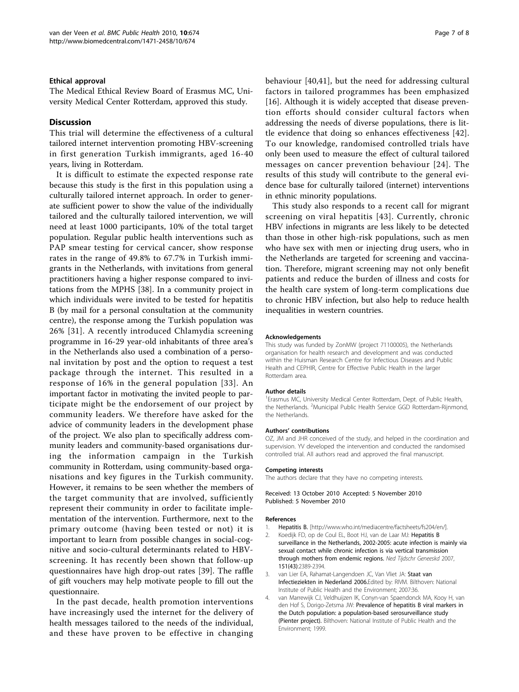#### <span id="page-6-0"></span>Ethical approval

The Medical Ethical Review Board of Erasmus MC, University Medical Center Rotterdam, approved this study.

## **Discussion**

This trial will determine the effectiveness of a cultural tailored internet intervention promoting HBV-screening in first generation Turkish immigrants, aged 16-40 years, living in Rotterdam.

It is difficult to estimate the expected response rate because this study is the first in this population using a culturally tailored internet approach. In order to generate sufficient power to show the value of the individually tailored and the culturally tailored intervention, we will need at least 1000 participants, 10% of the total target population. Regular public health interventions such as PAP smear testing for cervical cancer, show response rates in the range of 49.8% to 67.7% in Turkish immigrants in the Netherlands, with invitations from general practitioners having a higher response compared to invitations from the MPHS [[38](#page-7-0)]. In a community project in which individuals were invited to be tested for hepatitis B (by mail for a personal consultation at the community centre), the response among the Turkish population was 26% [[31](#page-7-0)]. A recently introduced Chlamydia screening programme in 16-29 year-old inhabitants of three area's in the Netherlands also used a combination of a personal invitation by post and the option to request a test package through the internet. This resulted in a response of 16% in the general population [[33\]](#page-7-0). An important factor in motivating the invited people to participate might be the endorsement of our project by community leaders. We therefore have asked for the advice of community leaders in the development phase of the project. We also plan to specifically address community leaders and community-based organisations during the information campaign in the Turkish community in Rotterdam, using community-based organisations and key figures in the Turkish community. However, it remains to be seen whether the members of the target community that are involved, sufficiently represent their community in order to facilitate implementation of the intervention. Furthermore, next to the primary outcome (having been tested or not) it is important to learn from possible changes in social-cognitive and socio-cultural determinants related to HBVscreening. It has recently been shown that follow-up questionnaires have high drop-out rates [[39\]](#page-7-0). The raffle of gift vouchers may help motivate people to fill out the questionnaire.

In the past decade, health promotion interventions have increasingly used the internet for the delivery of health messages tailored to the needs of the individual, and these have proven to be effective in changing behaviour [\[40](#page-7-0),[41\]](#page-7-0), but the need for addressing cultural factors in tailored programmes has been emphasized [[16\]](#page-7-0). Although it is widely accepted that disease prevention efforts should consider cultural factors when addressing the needs of diverse populations, there is little evidence that doing so enhances effectiveness [[42](#page-7-0)]. To our knowledge, randomised controlled trials have only been used to measure the effect of cultural tailored messages on cancer prevention behaviour [[24\]](#page-7-0). The results of this study will contribute to the general evidence base for culturally tailored (internet) interventions in ethnic minority populations.

This study also responds to a recent call for migrant screening on viral hepatitis [[43\]](#page-7-0). Currently, chronic HBV infections in migrants are less likely to be detected than those in other high-risk populations, such as men who have sex with men or injecting drug users, who in the Netherlands are targeted for screening and vaccination. Therefore, migrant screening may not only benefit patients and reduce the burden of illness and costs for the health care system of long-term complications due to chronic HBV infection, but also help to reduce health inequalities in western countries.

#### Acknowledgements

This study was funded by ZonMW (project 71100005), the Netherlands organisation for health research and development and was conducted within the Huisman Research Centre for Infectious Diseases and Public Health and CEPHIR, Centre for Effective Public Health in the larger Rotterdam area.

#### Author details

<sup>1</sup> Erasmus MC, University Medical Center Rotterdam, Dept. of Public Health, the Netherlands. <sup>2</sup>Municipal Public Health Service GGD Rotterdam-Rijnmond, the Netherlands.

#### Authors' contributions

OZ, JM and JHR conceived of the study, and helped in the coordination and supervision. YV developed the intervention and conducted the randomised controlled trial. All authors read and approved the final manuscript.

#### Competing interests

The authors declare that they have no competing interests.

Received: 13 October 2010 Accepted: 5 November 2010 Published: 5 November 2010

#### References

- 1. Hepatitis B. [[http://www.who.int/mediacentre/factsheets/fs204/en/\]](http://www.who.int/mediacentre/factsheets/fs204/en/). 2. Koedijk FD, op de Coul EL, Boot HJ, van de Laar MJ: [Hepatitis B](http://www.ncbi.nlm.nih.gov/pubmed/18019217?dopt=Abstract)
- [surveillance in the Netherlands, 2002-2005: acute infection is mainly via](http://www.ncbi.nlm.nih.gov/pubmed/18019217?dopt=Abstract) [sexual contact while chronic infection is via vertical transmission](http://www.ncbi.nlm.nih.gov/pubmed/18019217?dopt=Abstract) [through mothers from endemic regions.](http://www.ncbi.nlm.nih.gov/pubmed/18019217?dopt=Abstract) Ned Tijdschr Geneeskd 2007, 151(43):2389-2394.
- 3. van Lier EA, Rahamat-Langendoen JC, Van Vliet JA: Staat van Infectieziekten in Nederland 2006.Edited by: RIVM. Bilthoven: National Institute of Public Health and the Environment; 2007:36.
- 4. van Marrewijk CJ, Veldhuijzen IK, Conyn-van Spaendonck MA, Kooy H, van den Hof S, Dorigo-Zetsma JW: Prevalence of hepatitis B viral markers in the Dutch population: a population-based serosurveillance study (Pienter project). Bilthoven: National Institute of Public Health and the Environment; 1999.